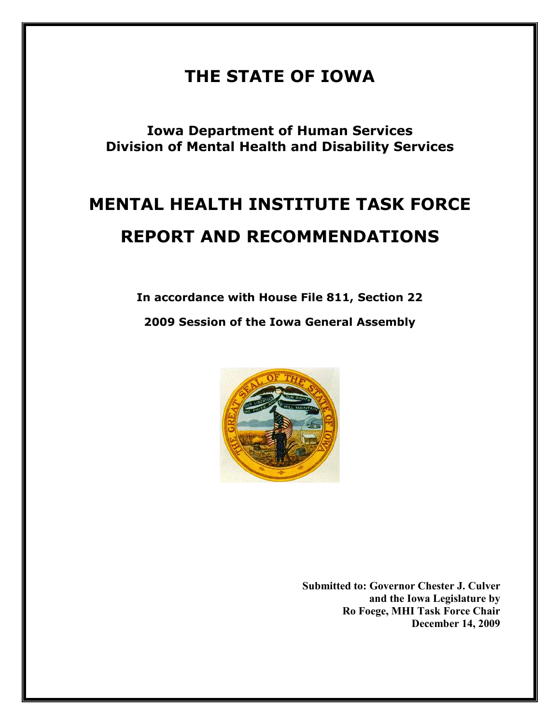# THE STATE OF IOWA

Iowa Department of Human Services Division of Mental Health and Disability Services

# MENTAL HEALTH INSTITUTE TASK FORCE REPORT AND RECOMMENDATIONS

In accordance with House File 811, Section 22 2009 Session of the Iowa General Assembly



Submitted to: Governor Chester J. Culver and the Iowa Legislature by Ro Foege, MHI Task Force Chair December 14, 2009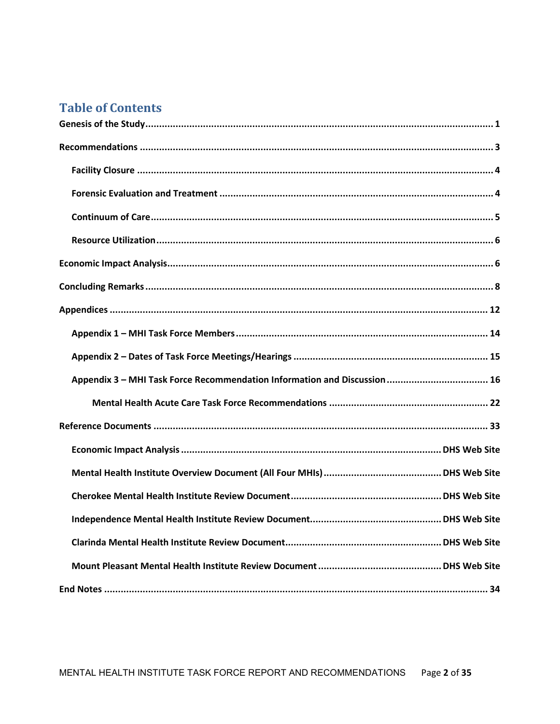# **Table of Contents**

| Appendix 3 - MHI Task Force Recommendation Information and Discussion  16 |
|---------------------------------------------------------------------------|
|                                                                           |
|                                                                           |
|                                                                           |
|                                                                           |
|                                                                           |
|                                                                           |
|                                                                           |
|                                                                           |
|                                                                           |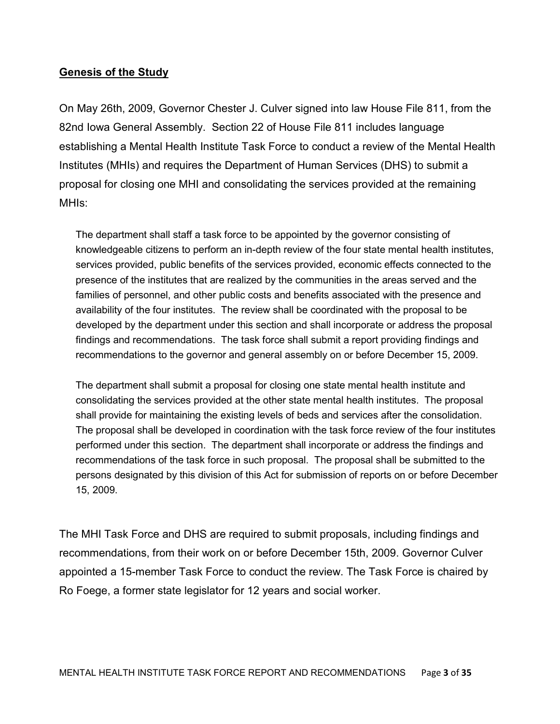### Genesis of the Study

On May 26th, 2009, Governor Chester J. Culver signed into law House File 811, from the 82nd Iowa General Assembly. Section 22 of House File 811 includes language establishing a Mental Health Institute Task Force to conduct a review of the Mental Health Institutes (MHIs) and requires the Department of Human Services (DHS) to submit a proposal for closing one MHI and consolidating the services provided at the remaining MHIs:

The department shall staff a task force to be appointed by the governor consisting of knowledgeable citizens to perform an in-depth review of the four state mental health institutes, services provided, public benefits of the services provided, economic effects connected to the presence of the institutes that are realized by the communities in the areas served and the families of personnel, and other public costs and benefits associated with the presence and availability of the four institutes. The review shall be coordinated with the proposal to be developed by the department under this section and shall incorporate or address the proposal findings and recommendations. The task force shall submit a report providing findings and recommendations to the governor and general assembly on or before December 15, 2009.

The department shall submit a proposal for closing one state mental health institute and consolidating the services provided at the other state mental health institutes. The proposal shall provide for maintaining the existing levels of beds and services after the consolidation. The proposal shall be developed in coordination with the task force review of the four institutes performed under this section. The department shall incorporate or address the findings and recommendations of the task force in such proposal. The proposal shall be submitted to the persons designated by this division of this Act for submission of reports on or before December 15, 2009.

The MHI Task Force and DHS are required to submit proposals, including findings and recommendations, from their work on or before December 15th, 2009. Governor Culver appointed a 15-member Task Force to conduct the review. The Task Force is chaired by Ro Foege, a former state legislator for 12 years and social worker.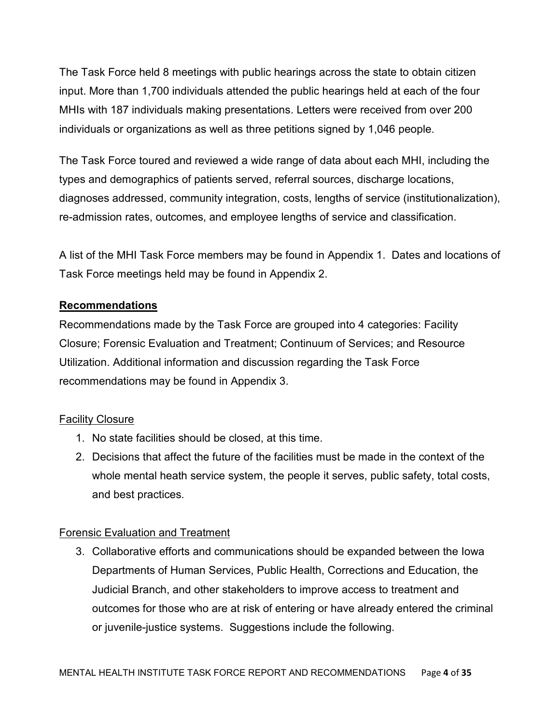The Task Force held 8 meetings with public hearings across the state to obtain citizen input. More than 1,700 individuals attended the public hearings held at each of the four MHIs with 187 individuals making presentations. Letters were received from over 200 individuals or organizations as well as three petitions signed by 1,046 people.

The Task Force toured and reviewed a wide range of data about each MHI, including the types and demographics of patients served, referral sources, discharge locations, diagnoses addressed, community integration, costs, lengths of service (institutionalization), re-admission rates, outcomes, and employee lengths of service and classification.

A list of the MHI Task Force members may be found in Appendix 1. Dates and locations of Task Force meetings held may be found in Appendix 2.

# Recommendations

Recommendations made by the Task Force are grouped into 4 categories: Facility Closure; Forensic Evaluation and Treatment; Continuum of Services; and Resource Utilization. Additional information and discussion regarding the Task Force recommendations may be found in Appendix 3.

# Facility Closure

- 1. No state facilities should be closed, at this time.
- 2. Decisions that affect the future of the facilities must be made in the context of the whole mental heath service system, the people it serves, public safety, total costs, and best practices.

# Forensic Evaluation and Treatment

3. Collaborative efforts and communications should be expanded between the Iowa Departments of Human Services, Public Health, Corrections and Education, the Judicial Branch, and other stakeholders to improve access to treatment and outcomes for those who are at risk of entering or have already entered the criminal or juvenile-justice systems. Suggestions include the following.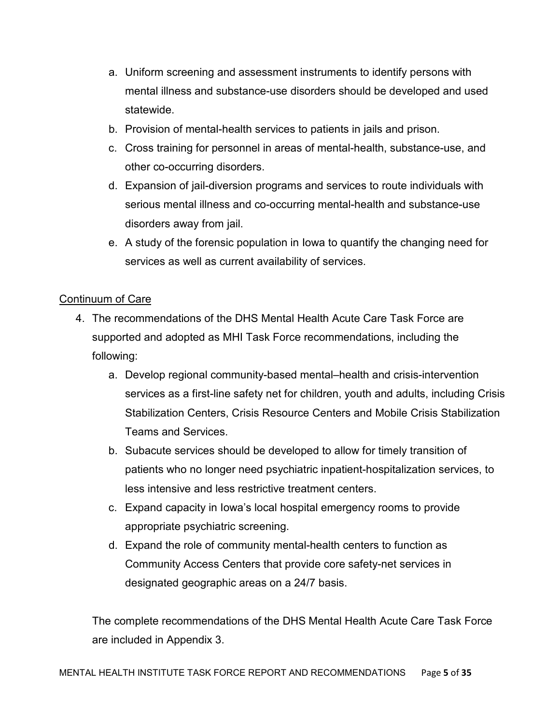- a. Uniform screening and assessment instruments to identify persons with mental illness and substance-use disorders should be developed and used statewide.
- b. Provision of mental-health services to patients in jails and prison.
- c. Cross training for personnel in areas of mental-health, substance-use, and other co-occurring disorders.
- d. Expansion of jail-diversion programs and services to route individuals with serious mental illness and co-occurring mental-health and substance-use disorders away from jail.
- e. A study of the forensic population in Iowa to quantify the changing need for services as well as current availability of services.

# Continuum of Care

- 4. The recommendations of the DHS Mental Health Acute Care Task Force are supported and adopted as MHI Task Force recommendations, including the following:
	- a. Develop regional community-based mental–health and crisis-intervention services as a first-line safety net for children, youth and adults, including Crisis Stabilization Centers, Crisis Resource Centers and Mobile Crisis Stabilization Teams and Services.
	- b. Subacute services should be developed to allow for timely transition of patients who no longer need psychiatric inpatient-hospitalization services, to less intensive and less restrictive treatment centers.
	- c. Expand capacity in Iowa's local hospital emergency rooms to provide appropriate psychiatric screening.
	- d. Expand the role of community mental-health centers to function as Community Access Centers that provide core safety-net services in designated geographic areas on a 24/7 basis.

The complete recommendations of the DHS Mental Health Acute Care Task Force are included in Appendix 3.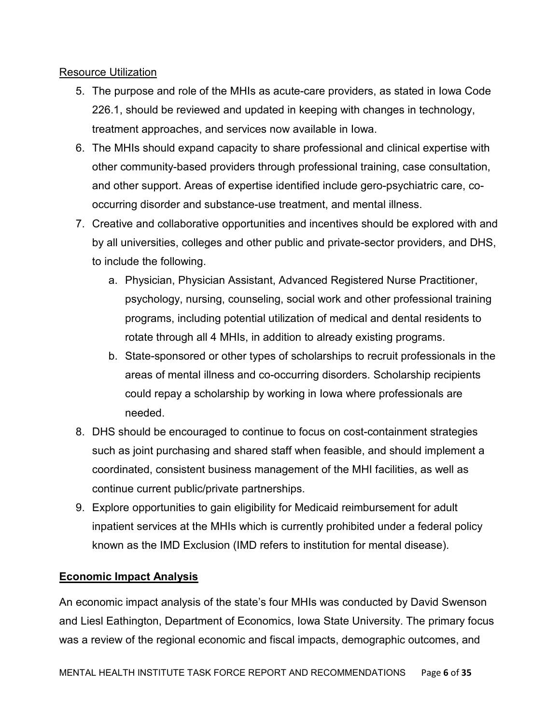### Resource Utilization

- 5. The purpose and role of the MHIs as acute-care providers, as stated in Iowa Code 226.1, should be reviewed and updated in keeping with changes in technology, treatment approaches, and services now available in Iowa.
- 6. The MHIs should expand capacity to share professional and clinical expertise with other community-based providers through professional training, case consultation, and other support. Areas of expertise identified include gero-psychiatric care, cooccurring disorder and substance-use treatment, and mental illness.
- 7. Creative and collaborative opportunities and incentives should be explored with and by all universities, colleges and other public and private-sector providers, and DHS, to include the following.
	- a. Physician, Physician Assistant, Advanced Registered Nurse Practitioner, psychology, nursing, counseling, social work and other professional training programs, including potential utilization of medical and dental residents to rotate through all 4 MHIs, in addition to already existing programs.
	- b. State-sponsored or other types of scholarships to recruit professionals in the areas of mental illness and co-occurring disorders. Scholarship recipients could repay a scholarship by working in Iowa where professionals are needed.
- 8. DHS should be encouraged to continue to focus on cost-containment strategies such as joint purchasing and shared staff when feasible, and should implement a coordinated, consistent business management of the MHI facilities, as well as continue current public/private partnerships.
- 9. Explore opportunities to gain eligibility for Medicaid reimbursement for adult inpatient services at the MHIs which is currently prohibited under a federal policy known as the IMD Exclusion (IMD refers to institution for mental disease).

# Economic Impact Analysis

An economic impact analysis of the state's four MHIs was conducted by David Swenson and Liesl Eathington, Department of Economics, Iowa State University. The primary focus was a review of the regional economic and fiscal impacts, demographic outcomes, and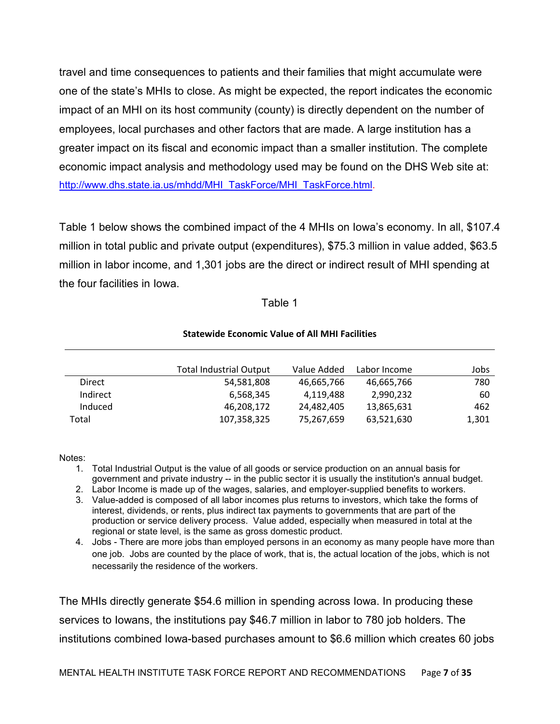travel and time consequences to patients and their families that might accumulate were one of the state's MHIs to close. As might be expected, the report indicates the economic impact of an MHI on its host community (county) is directly dependent on the number of employees, local purchases and other factors that are made. A large institution has a greater impact on its fiscal and economic impact than a smaller institution. The complete economic impact analysis and methodology used may be found on the DHS Web site at: http://www.dhs.state.ia.us/mhdd/MHI\_TaskForce/MHI\_TaskForce.html.

Table 1 below shows the combined impact of the 4 MHIs on Iowa's economy. In all, \$107.4 million in total public and private output (expenditures), \$75.3 million in value added, \$63.5 million in labor income, and 1,301 jobs are the direct or indirect result of MHI spending at the four facilities in Iowa.

#### Table 1

#### Statewide Economic Value of All MHI Facilities

|          | <b>Total Industrial Output</b> | Value Added | Labor Income | Jobs  |
|----------|--------------------------------|-------------|--------------|-------|
| Direct   | 54,581,808                     | 46,665,766  | 46,665,766   | 780   |
| Indirect | 6,568,345                      | 4.119.488   | 2.990.232    | 60    |
| Induced  | 46,208,172                     | 24,482,405  | 13,865,631   | 462   |
| Total    | 107,358,325                    | 75,267,659  | 63,521,630   | 1,301 |

Notes:

- 1. Total Industrial Output is the value of all goods or service production on an annual basis for government and private industry -- in the public sector it is usually the institution's annual budget.
- 2. Labor Income is made up of the wages, salaries, and employer-supplied benefits to workers.
- 3. Value-added is composed of all labor incomes plus returns to investors, which take the forms of interest, dividends, or rents, plus indirect tax payments to governments that are part of the production or service delivery process. Value added, especially when measured in total at the regional or state level, is the same as gross domestic product.
- 4. Jobs There are more jobs than employed persons in an economy as many people have more than one job. Jobs are counted by the place of work, that is, the actual location of the jobs, which is not necessarily the residence of the workers.

The MHIs directly generate \$54.6 million in spending across Iowa. In producing these services to Iowans, the institutions pay \$46.7 million in labor to 780 job holders. The institutions combined Iowa-based purchases amount to \$6.6 million which creates 60 jobs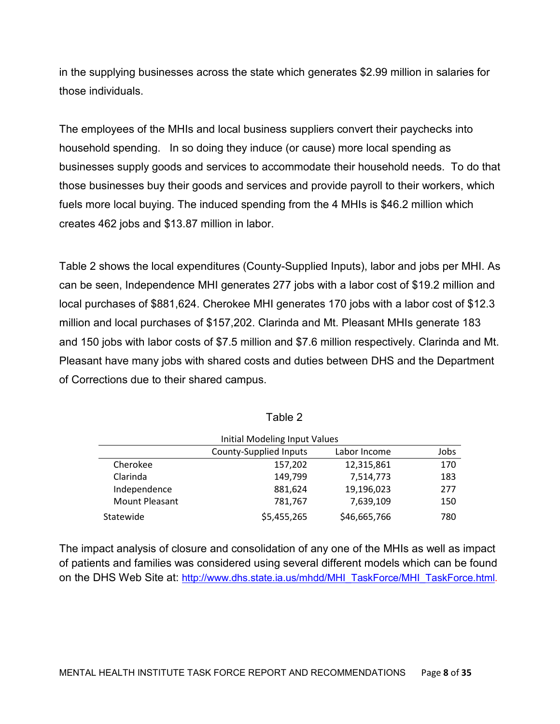in the supplying businesses across the state which generates \$2.99 million in salaries for those individuals.

The employees of the MHIs and local business suppliers convert their paychecks into household spending. In so doing they induce (or cause) more local spending as businesses supply goods and services to accommodate their household needs. To do that those businesses buy their goods and services and provide payroll to their workers, which fuels more local buying. The induced spending from the 4 MHIs is \$46.2 million which creates 462 jobs and \$13.87 million in labor.

Table 2 shows the local expenditures (County-Supplied Inputs), labor and jobs per MHI. As can be seen, Independence MHI generates 277 jobs with a labor cost of \$19.2 million and local purchases of \$881,624. Cherokee MHI generates 170 jobs with a labor cost of \$12.3 million and local purchases of \$157,202. Clarinda and Mt. Pleasant MHIs generate 183 and 150 jobs with labor costs of \$7.5 million and \$7.6 million respectively. Clarinda and Mt. Pleasant have many jobs with shared costs and duties between DHS and the Department of Corrections due to their shared campus.

| Initial Modeling Input Values |                        |              |      |  |
|-------------------------------|------------------------|--------------|------|--|
|                               | County-Supplied Inputs | Labor Income | Jobs |  |
| Cherokee                      | 157,202                | 12,315,861   | 170  |  |
| Clarinda                      | 149,799                | 7,514,773    | 183  |  |
| Independence                  | 881,624                | 19,196,023   | 277  |  |
| Mount Pleasant                | 781,767                | 7,639,109    | 150  |  |
| Statewide                     | \$5,455,265            | \$46,665,766 | 780  |  |

| able |  |
|------|--|
|------|--|

The impact analysis of closure and consolidation of any one of the MHIs as well as impact of patients and families was considered using several different models which can be found on the DHS Web Site at: http://www.dhs.state.ia.us/mhdd/MHI\_TaskForce/MHI\_TaskForce.html.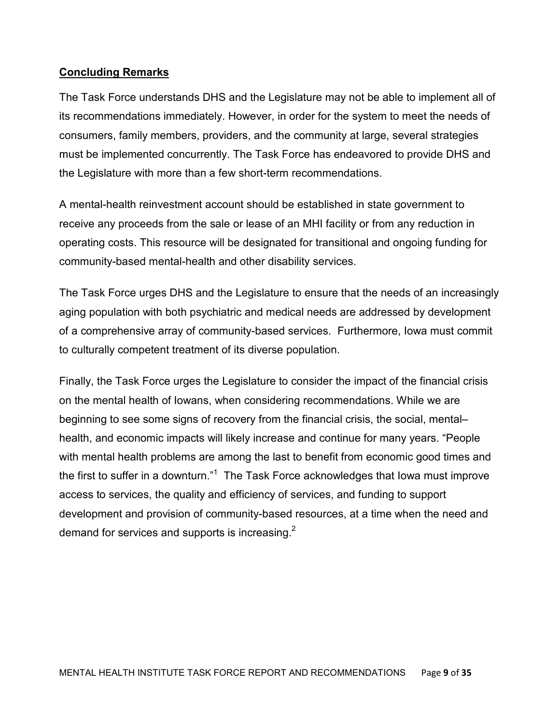### Concluding Remarks

The Task Force understands DHS and the Legislature may not be able to implement all of its recommendations immediately. However, in order for the system to meet the needs of consumers, family members, providers, and the community at large, several strategies must be implemented concurrently. The Task Force has endeavored to provide DHS and the Legislature with more than a few short-term recommendations.

A mental-health reinvestment account should be established in state government to receive any proceeds from the sale or lease of an MHI facility or from any reduction in operating costs. This resource will be designated for transitional and ongoing funding for community-based mental-health and other disability services.

The Task Force urges DHS and the Legislature to ensure that the needs of an increasingly aging population with both psychiatric and medical needs are addressed by development of a comprehensive array of community-based services. Furthermore, Iowa must commit to culturally competent treatment of its diverse population.

Finally, the Task Force urges the Legislature to consider the impact of the financial crisis on the mental health of Iowans, when considering recommendations. While we are beginning to see some signs of recovery from the financial crisis, the social, mental– health, and economic impacts will likely increase and continue for many years. "People with mental health problems are among the last to benefit from economic good times and the first to suffer in a downturn."<sup>1</sup> The Task Force acknowledges that lowa must improve access to services, the quality and efficiency of services, and funding to support development and provision of community-based resources, at a time when the need and demand for services and supports is increasing.<sup>2</sup>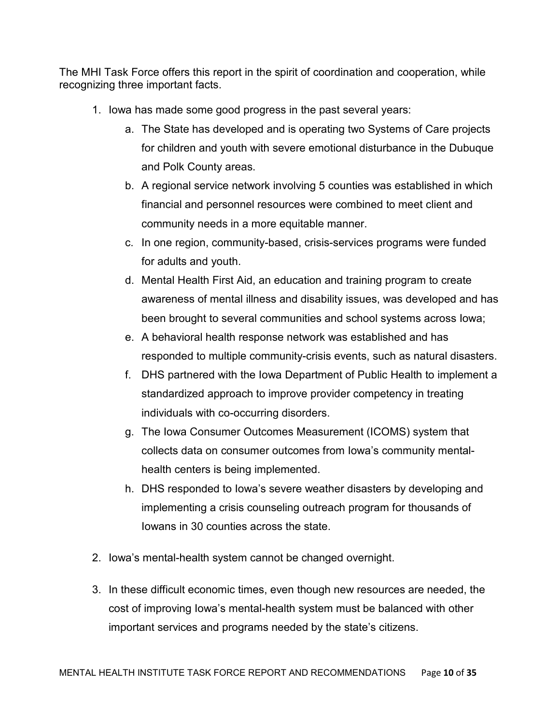The MHI Task Force offers this report in the spirit of coordination and cooperation, while recognizing three important facts.

- 1. Iowa has made some good progress in the past several years:
	- a. The State has developed and is operating two Systems of Care projects for children and youth with severe emotional disturbance in the Dubuque and Polk County areas.
	- b. A regional service network involving 5 counties was established in which financial and personnel resources were combined to meet client and community needs in a more equitable manner.
	- c. In one region, community-based, crisis-services programs were funded for adults and youth.
	- d. Mental Health First Aid, an education and training program to create awareness of mental illness and disability issues, was developed and has been brought to several communities and school systems across Iowa;
	- e. A behavioral health response network was established and has responded to multiple community-crisis events, such as natural disasters.
	- f. DHS partnered with the Iowa Department of Public Health to implement a standardized approach to improve provider competency in treating individuals with co-occurring disorders.
	- g. The Iowa Consumer Outcomes Measurement (ICOMS) system that collects data on consumer outcomes from Iowa's community mentalhealth centers is being implemented.
	- h. DHS responded to Iowa's severe weather disasters by developing and implementing a crisis counseling outreach program for thousands of Iowans in 30 counties across the state.
- 2. Iowa's mental-health system cannot be changed overnight.
- 3. In these difficult economic times, even though new resources are needed, the cost of improving Iowa's mental-health system must be balanced with other important services and programs needed by the state's citizens.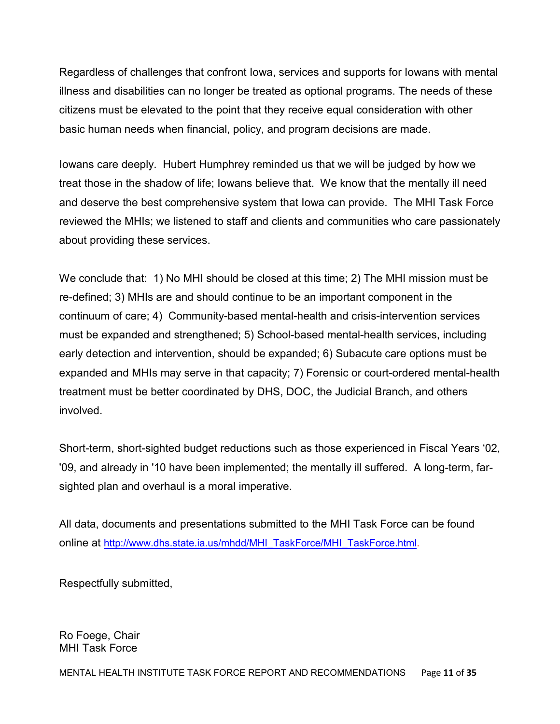Regardless of challenges that confront Iowa, services and supports for Iowans with mental illness and disabilities can no longer be treated as optional programs. The needs of these citizens must be elevated to the point that they receive equal consideration with other basic human needs when financial, policy, and program decisions are made.

Iowans care deeply. Hubert Humphrey reminded us that we will be judged by how we treat those in the shadow of life; Iowans believe that. We know that the mentally ill need and deserve the best comprehensive system that Iowa can provide. The MHI Task Force reviewed the MHIs; we listened to staff and clients and communities who care passionately about providing these services.

We conclude that: 1) No MHI should be closed at this time; 2) The MHI mission must be re-defined; 3) MHIs are and should continue to be an important component in the continuum of care; 4) Community-based mental-health and crisis-intervention services must be expanded and strengthened; 5) School-based mental-health services, including early detection and intervention, should be expanded; 6) Subacute care options must be expanded and MHIs may serve in that capacity; 7) Forensic or court-ordered mental-health treatment must be better coordinated by DHS, DOC, the Judicial Branch, and others involved.

Short-term, short-sighted budget reductions such as those experienced in Fiscal Years '02, '09, and already in '10 have been implemented; the mentally ill suffered. A long-term, farsighted plan and overhaul is a moral imperative.

All data, documents and presentations submitted to the MHI Task Force can be found online at http://www.dhs.state.ia.us/mhdd/MHI\_TaskForce/MHI\_TaskForce.html.

Respectfully submitted,

Ro Foege, Chair MHI Task Force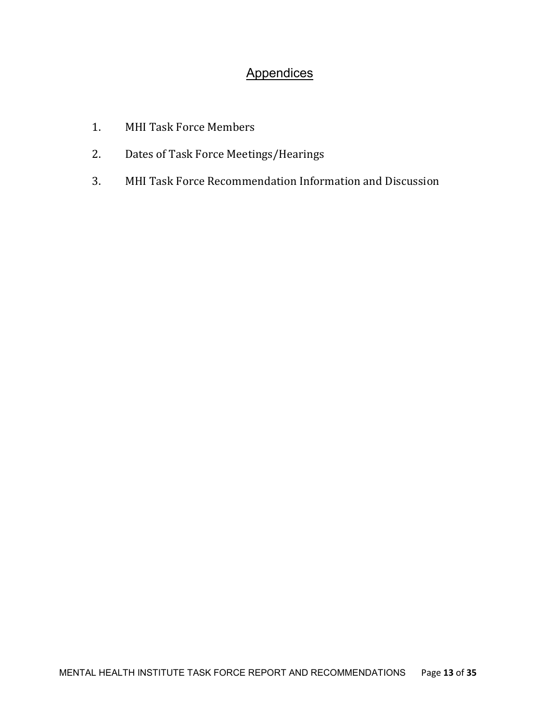# **Appendices**

- 1. MHI Task Force Members
- 2. Dates of Task Force Meetings/Hearings
- 3. MHI Task Force Recommendation Information and Discussion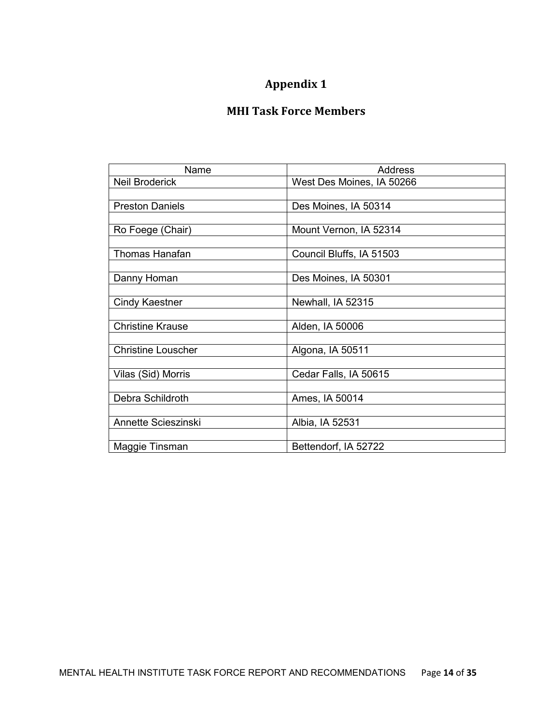# Appendix 1

# MHI Task Force Members

| Name                      | Address                   |  |
|---------------------------|---------------------------|--|
| <b>Neil Broderick</b>     | West Des Moines, IA 50266 |  |
|                           |                           |  |
| <b>Preston Daniels</b>    | Des Moines, IA 50314      |  |
|                           |                           |  |
| Ro Foege (Chair)          | Mount Vernon, IA 52314    |  |
|                           |                           |  |
| Thomas Hanafan            | Council Bluffs, IA 51503  |  |
|                           |                           |  |
| Danny Homan               | Des Moines, IA 50301      |  |
|                           |                           |  |
| Cindy Kaestner            | Newhall, IA 52315         |  |
| <b>Christine Krause</b>   | Alden, IA 50006           |  |
|                           |                           |  |
| <b>Christine Louscher</b> | Algona, IA 50511          |  |
|                           |                           |  |
| Vilas (Sid) Morris        | Cedar Falls, IA 50615     |  |
|                           |                           |  |
| Debra Schildroth          | Ames, IA 50014            |  |
|                           |                           |  |
| Annette Scieszinski       | Albia, IA 52531           |  |
|                           |                           |  |
| Maggie Tinsman            | Bettendorf, IA 52722      |  |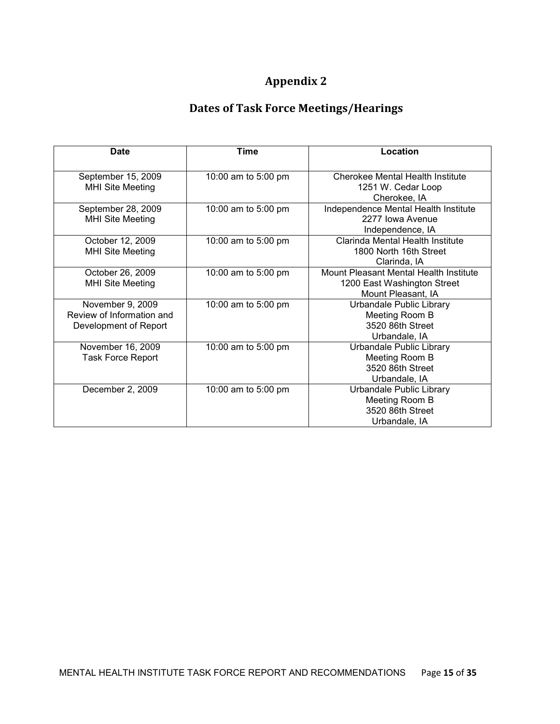# Appendix 2

# Dates of Task Force Meetings/Hearings

| <b>Date</b>                                                            | <b>Time</b>         | Location                                                                                    |
|------------------------------------------------------------------------|---------------------|---------------------------------------------------------------------------------------------|
| September 15, 2009<br><b>MHI Site Meeting</b>                          | 10:00 am to 5:00 pm | Cherokee Mental Health Institute<br>1251 W. Cedar Loop<br>Cherokee, IA                      |
| September 28, 2009<br><b>MHI Site Meeting</b>                          | 10:00 am to 5:00 pm | Independence Mental Health Institute<br>2277 Iowa Avenue<br>Independence, IA                |
| October 12, 2009<br><b>MHI Site Meeting</b>                            | 10:00 am to 5:00 pm | Clarinda Mental Health Institute<br>1800 North 16th Street<br>Clarinda, IA                  |
| October 26, 2009<br><b>MHI Site Meeting</b>                            | 10:00 am to 5:00 pm | Mount Pleasant Mental Health Institute<br>1200 East Washington Street<br>Mount Pleasant, IA |
| November 9, 2009<br>Review of Information and<br>Development of Report | 10:00 am to 5:00 pm | Urbandale Public Library<br>Meeting Room B<br>3520 86th Street<br>Urbandale, IA             |
| November 16, 2009<br><b>Task Force Report</b>                          | 10:00 am to 5:00 pm | Urbandale Public Library<br>Meeting Room B<br>3520 86th Street<br>Urbandale, IA             |
| December 2, 2009                                                       | 10:00 am to 5:00 pm | Urbandale Public Library<br>Meeting Room B<br>3520 86th Street<br>Urbandale, IA             |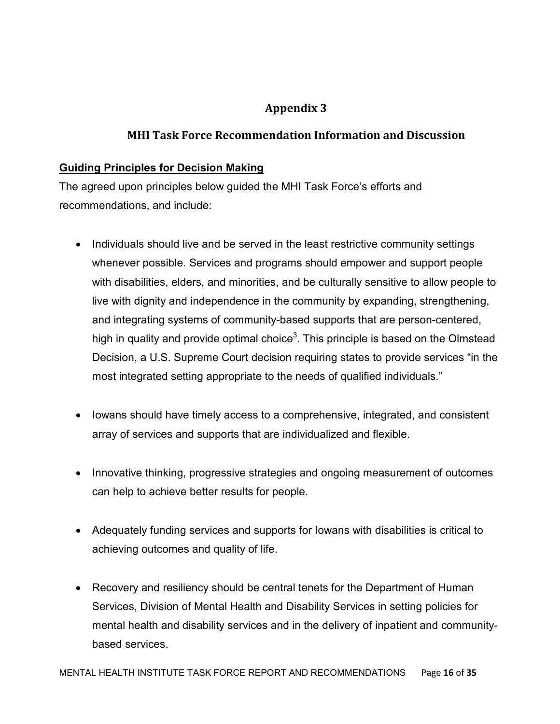# Appendix 3

# MHI Task Force Recommendation Information and Discussion

# Guiding Principles for Decision Making

The agreed upon principles below guided the MHI Task Force's efforts and recommendations, and include:

- Individuals should live and be served in the least restrictive community settings whenever possible. Services and programs should empower and support people with disabilities, elders, and minorities, and be culturally sensitive to allow people to live with dignity and independence in the community by expanding, strengthening, and integrating systems of community-based supports that are person-centered, high in quality and provide optimal choice<sup>3</sup>. This principle is based on the Olmstead Decision, a U.S. Supreme Court decision requiring states to provide services "in the most integrated setting appropriate to the needs of qualified individuals."
- Iowans should have timely access to a comprehensive, integrated, and consistent array of services and supports that are individualized and flexible.
- Innovative thinking, progressive strategies and ongoing measurement of outcomes can help to achieve better results for people.
- Adequately funding services and supports for Iowans with disabilities is critical to achieving outcomes and quality of life.
- Recovery and resiliency should be central tenets for the Department of Human Services, Division of Mental Health and Disability Services in setting policies for mental health and disability services and in the delivery of inpatient and communitybased services.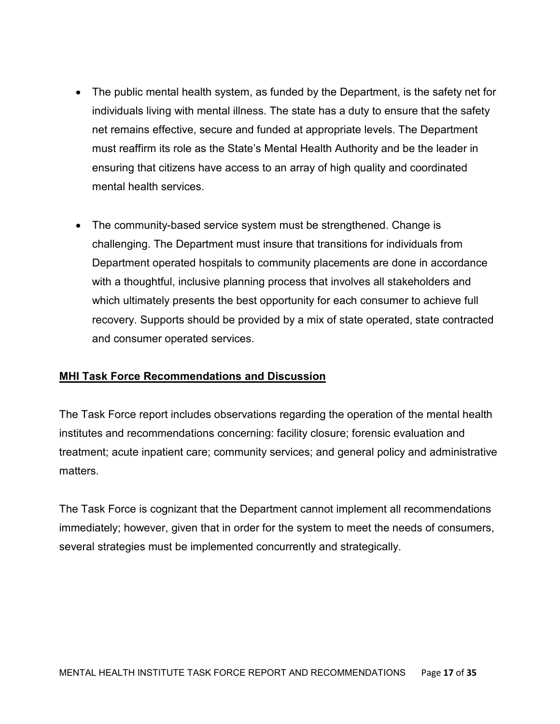- The public mental health system, as funded by the Department, is the safety net for individuals living with mental illness. The state has a duty to ensure that the safety net remains effective, secure and funded at appropriate levels. The Department must reaffirm its role as the State's Mental Health Authority and be the leader in ensuring that citizens have access to an array of high quality and coordinated mental health services.
- The community-based service system must be strengthened. Change is challenging. The Department must insure that transitions for individuals from Department operated hospitals to community placements are done in accordance with a thoughtful, inclusive planning process that involves all stakeholders and which ultimately presents the best opportunity for each consumer to achieve full recovery. Supports should be provided by a mix of state operated, state contracted and consumer operated services.

# **MHI Task Force Recommendations and Discussion**

The Task Force report includes observations regarding the operation of the mental health institutes and recommendations concerning: facility closure; forensic evaluation and treatment; acute inpatient care; community services; and general policy and administrative matters.

The Task Force is cognizant that the Department cannot implement all recommendations immediately; however, given that in order for the system to meet the needs of consumers, several strategies must be implemented concurrently and strategically.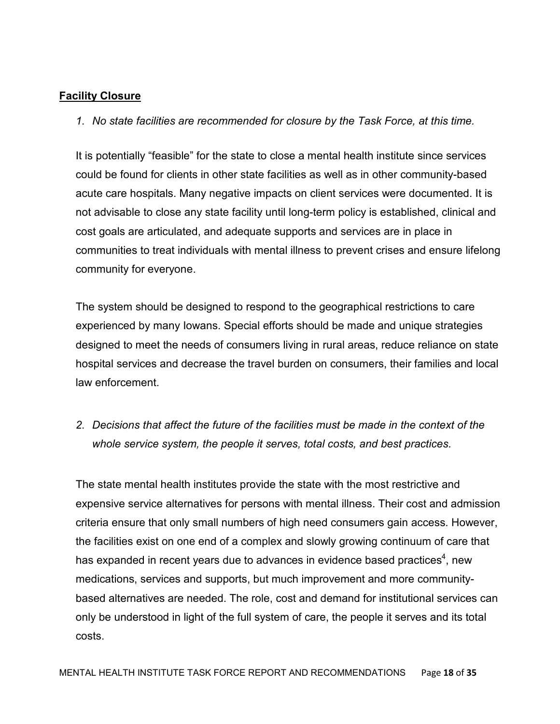#### Facility Closure

1. No state facilities are recommended for closure by the Task Force, at this time.

It is potentially "feasible" for the state to close a mental health institute since services could be found for clients in other state facilities as well as in other community-based acute care hospitals. Many negative impacts on client services were documented. It is not advisable to close any state facility until long-term policy is established, clinical and cost goals are articulated, and adequate supports and services are in place in communities to treat individuals with mental illness to prevent crises and ensure lifelong community for everyone.

The system should be designed to respond to the geographical restrictions to care experienced by many Iowans. Special efforts should be made and unique strategies designed to meet the needs of consumers living in rural areas, reduce reliance on state hospital services and decrease the travel burden on consumers, their families and local law enforcement.

2. Decisions that affect the future of the facilities must be made in the context of the whole service system, the people it serves, total costs, and best practices.

The state mental health institutes provide the state with the most restrictive and expensive service alternatives for persons with mental illness. Their cost and admission criteria ensure that only small numbers of high need consumers gain access. However, the facilities exist on one end of a complex and slowly growing continuum of care that has expanded in recent years due to advances in evidence based practices<sup>4</sup>, new medications, services and supports, but much improvement and more communitybased alternatives are needed. The role, cost and demand for institutional services can only be understood in light of the full system of care, the people it serves and its total costs.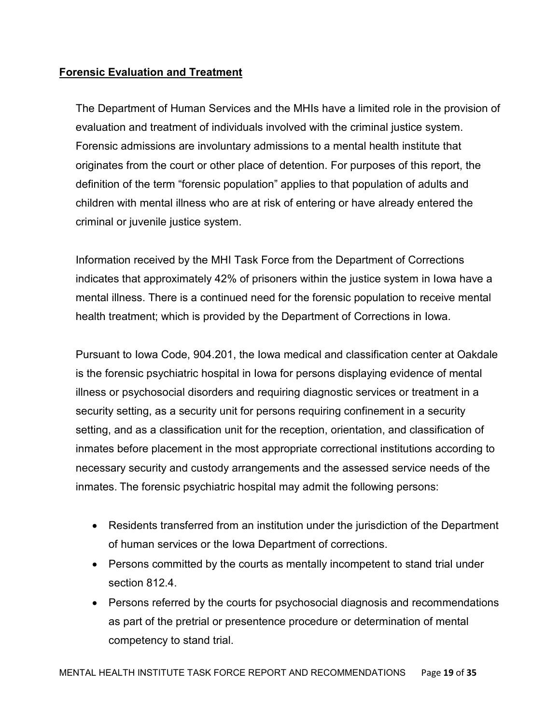# Forensic Evaluation and Treatment

The Department of Human Services and the MHIs have a limited role in the provision of evaluation and treatment of individuals involved with the criminal justice system. Forensic admissions are involuntary admissions to a mental health institute that originates from the court or other place of detention. For purposes of this report, the definition of the term "forensic population" applies to that population of adults and children with mental illness who are at risk of entering or have already entered the criminal or juvenile justice system.

Information received by the MHI Task Force from the Department of Corrections indicates that approximately 42% of prisoners within the justice system in Iowa have a mental illness. There is a continued need for the forensic population to receive mental health treatment; which is provided by the Department of Corrections in Iowa.

Pursuant to Iowa Code, 904.201, the Iowa medical and classification center at Oakdale is the forensic psychiatric hospital in Iowa for persons displaying evidence of mental illness or psychosocial disorders and requiring diagnostic services or treatment in a security setting, as a security unit for persons requiring confinement in a security setting, and as a classification unit for the reception, orientation, and classification of inmates before placement in the most appropriate correctional institutions according to necessary security and custody arrangements and the assessed service needs of the inmates. The forensic psychiatric hospital may admit the following persons:

- Residents transferred from an institution under the jurisdiction of the Department of human services or the Iowa Department of corrections.
- Persons committed by the courts as mentally incompetent to stand trial under section 812.4.
- Persons referred by the courts for psychosocial diagnosis and recommendations as part of the pretrial or presentence procedure or determination of mental competency to stand trial.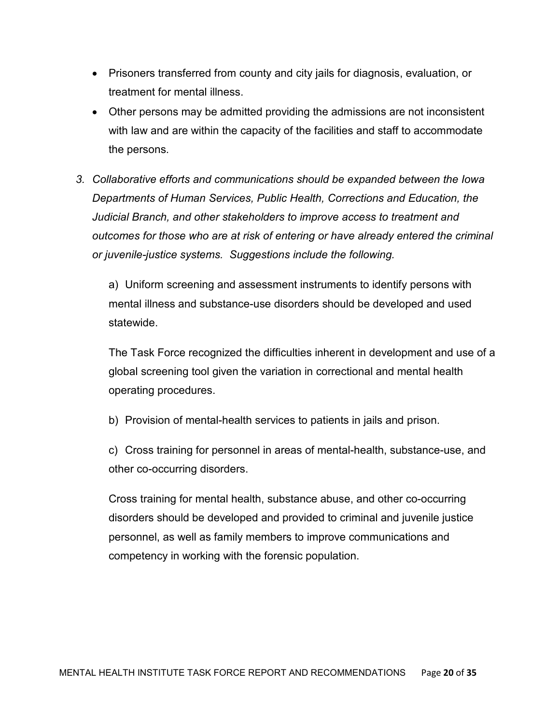- Prisoners transferred from county and city jails for diagnosis, evaluation, or treatment for mental illness.
- Other persons may be admitted providing the admissions are not inconsistent with law and are within the capacity of the facilities and staff to accommodate the persons.
- 3. Collaborative efforts and communications should be expanded between the Iowa Departments of Human Services, Public Health, Corrections and Education, the Judicial Branch, and other stakeholders to improve access to treatment and outcomes for those who are at risk of entering or have already entered the criminal or juvenile-justice systems. Suggestions include the following.

a) Uniform screening and assessment instruments to identify persons with mental illness and substance-use disorders should be developed and used statewide.

The Task Force recognized the difficulties inherent in development and use of a global screening tool given the variation in correctional and mental health operating procedures.

b) Provision of mental-health services to patients in jails and prison.

c) Cross training for personnel in areas of mental-health, substance-use, and other co-occurring disorders.

Cross training for mental health, substance abuse, and other co-occurring disorders should be developed and provided to criminal and juvenile justice personnel, as well as family members to improve communications and competency in working with the forensic population.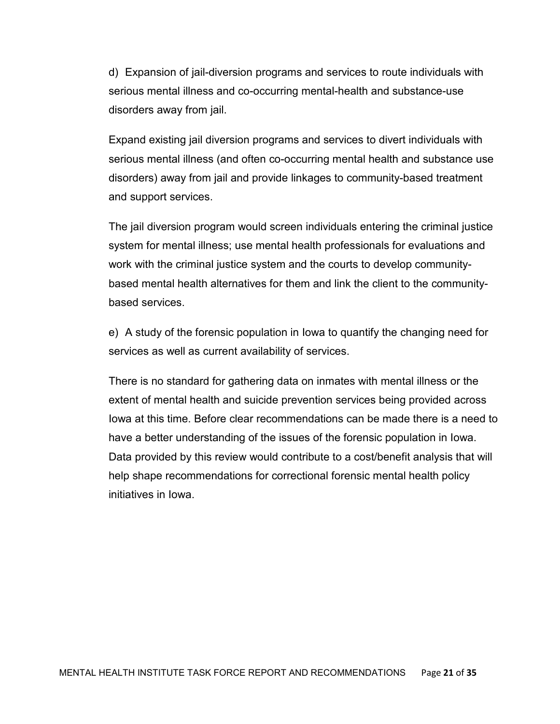d) Expansion of jail-diversion programs and services to route individuals with serious mental illness and co-occurring mental-health and substance-use disorders away from jail.

Expand existing jail diversion programs and services to divert individuals with serious mental illness (and often co-occurring mental health and substance use disorders) away from jail and provide linkages to community-based treatment and support services.

The jail diversion program would screen individuals entering the criminal justice system for mental illness; use mental health professionals for evaluations and work with the criminal justice system and the courts to develop communitybased mental health alternatives for them and link the client to the communitybased services.

e) A study of the forensic population in Iowa to quantify the changing need for services as well as current availability of services.

There is no standard for gathering data on inmates with mental illness or the extent of mental health and suicide prevention services being provided across Iowa at this time. Before clear recommendations can be made there is a need to have a better understanding of the issues of the forensic population in Iowa. Data provided by this review would contribute to a cost/benefit analysis that will help shape recommendations for correctional forensic mental health policy initiatives in Iowa.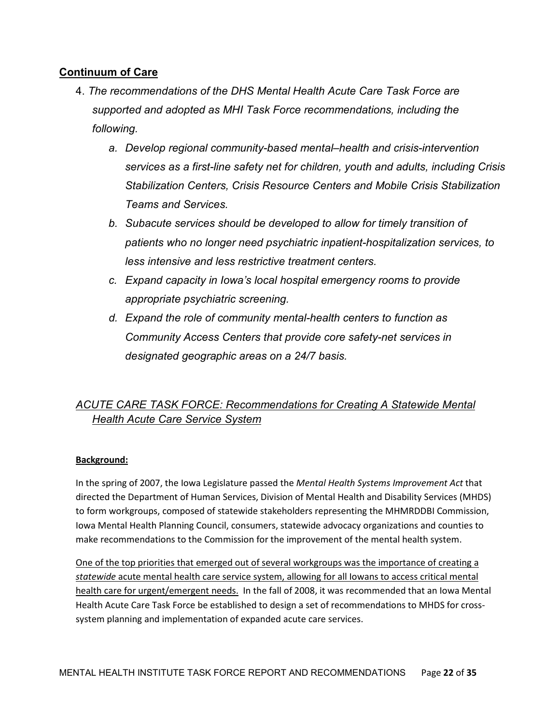### Continuum of Care

- 4. The recommendations of the DHS Mental Health Acute Care Task Force are supported and adopted as MHI Task Force recommendations, including the following.
	- a. Develop regional community-based mental–health and crisis-intervention services as a first-line safety net for children, youth and adults, including Crisis Stabilization Centers, Crisis Resource Centers and Mobile Crisis Stabilization Teams and Services.
	- b. Subacute services should be developed to allow for timely transition of patients who no longer need psychiatric inpatient-hospitalization services, to less intensive and less restrictive treatment centers.
	- c. Expand capacity in Iowa's local hospital emergency rooms to provide appropriate psychiatric screening.
	- d. Expand the role of community mental-health centers to function as Community Access Centers that provide core safety-net services in designated geographic areas on a 24/7 basis.

# ACUTE CARE TASK FORCE: Recommendations for Creating A Statewide Mental Health Acute Care Service System

#### Background:

In the spring of 2007, the Iowa Legislature passed the Mental Health Systems Improvement Act that directed the Department of Human Services, Division of Mental Health and Disability Services (MHDS) to form workgroups, composed of statewide stakeholders representing the MHMRDDBI Commission, Iowa Mental Health Planning Council, consumers, statewide advocacy organizations and counties to make recommendations to the Commission for the improvement of the mental health system.

One of the top priorities that emerged out of several workgroups was the importance of creating a statewide acute mental health care service system, allowing for all Iowans to access critical mental health care for urgent/emergent needs. In the fall of 2008, it was recommended that an lowa Mental Health Acute Care Task Force be established to design a set of recommendations to MHDS for crosssystem planning and implementation of expanded acute care services.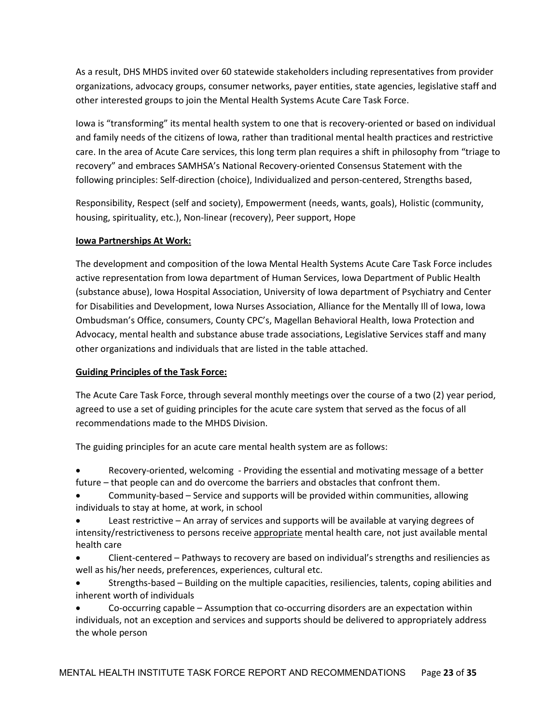As a result, DHS MHDS invited over 60 statewide stakeholders including representatives from provider organizations, advocacy groups, consumer networks, payer entities, state agencies, legislative staff and other interested groups to join the Mental Health Systems Acute Care Task Force.

Iowa is "transforming" its mental health system to one that is recovery-oriented or based on individual and family needs of the citizens of Iowa, rather than traditional mental health practices and restrictive care. In the area of Acute Care services, this long term plan requires a shift in philosophy from "triage to recovery" and embraces SAMHSA's National Recovery-oriented Consensus Statement with the following principles: Self-direction (choice), Individualized and person-centered, Strengths based,

Responsibility, Respect (self and society), Empowerment (needs, wants, goals), Holistic (community, housing, spirituality, etc.), Non-linear (recovery), Peer support, Hope

#### Iowa Partnerships At Work:

The development and composition of the Iowa Mental Health Systems Acute Care Task Force includes active representation from Iowa department of Human Services, Iowa Department of Public Health (substance abuse), Iowa Hospital Association, University of Iowa department of Psychiatry and Center for Disabilities and Development, Iowa Nurses Association, Alliance for the Mentally Ill of Iowa, Iowa Ombudsman's Office, consumers, County CPC's, Magellan Behavioral Health, Iowa Protection and Advocacy, mental health and substance abuse trade associations, Legislative Services staff and many other organizations and individuals that are listed in the table attached.

#### Guiding Principles of the Task Force:

The Acute Care Task Force, through several monthly meetings over the course of a two (2) year period, agreed to use a set of guiding principles for the acute care system that served as the focus of all recommendations made to the MHDS Division.

The guiding principles for an acute care mental health system are as follows:

• Recovery-oriented, welcoming - Providing the essential and motivating message of a better future – that people can and do overcome the barriers and obstacles that confront them.

• Community-based – Service and supports will be provided within communities, allowing individuals to stay at home, at work, in school

• Least restrictive – An array of services and supports will be available at varying degrees of intensity/restrictiveness to persons receive appropriate mental health care, not just available mental health care

• Client-centered – Pathways to recovery are based on individual's strengths and resiliencies as well as his/her needs, preferences, experiences, cultural etc.

• Strengths-based – Building on the multiple capacities, resiliencies, talents, coping abilities and inherent worth of individuals

• Co-occurring capable – Assumption that co-occurring disorders are an expectation within individuals, not an exception and services and supports should be delivered to appropriately address the whole person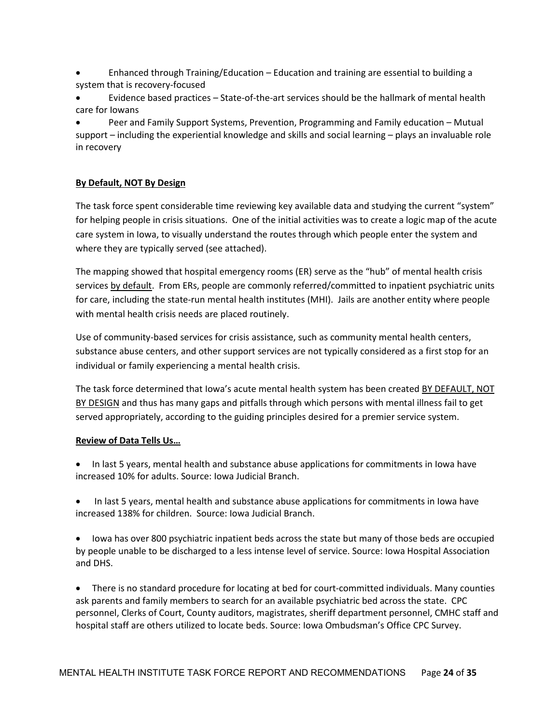- Enhanced through Training/Education Education and training are essential to building a system that is recovery-focused
- Evidence based practices State-of-the-art services should be the hallmark of mental health care for Iowans

• Peer and Family Support Systems, Prevention, Programming and Family education – Mutual support – including the experiential knowledge and skills and social learning – plays an invaluable role in recovery

#### By Default, NOT By Design

The task force spent considerable time reviewing key available data and studying the current "system" for helping people in crisis situations. One of the initial activities was to create a logic map of the acute care system in Iowa, to visually understand the routes through which people enter the system and where they are typically served (see attached).

The mapping showed that hospital emergency rooms (ER) serve as the "hub" of mental health crisis services by default. From ERs, people are commonly referred/committed to inpatient psychiatric units for care, including the state-run mental health institutes (MHI). Jails are another entity where people with mental health crisis needs are placed routinely.

Use of community-based services for crisis assistance, such as community mental health centers, substance abuse centers, and other support services are not typically considered as a first stop for an individual or family experiencing a mental health crisis.

The task force determined that Iowa's acute mental health system has been created BY DEFAULT, NOT BY DESIGN and thus has many gaps and pitfalls through which persons with mental illness fail to get served appropriately, according to the guiding principles desired for a premier service system.

#### Review of Data Tells Us…

- In last 5 years, mental health and substance abuse applications for commitments in Iowa have increased 10% for adults. Source: Iowa Judicial Branch.
- In last 5 years, mental health and substance abuse applications for commitments in Iowa have increased 138% for children. Source: Iowa Judicial Branch.
- Iowa has over 800 psychiatric inpatient beds across the state but many of those beds are occupied by people unable to be discharged to a less intense level of service. Source: Iowa Hospital Association and DHS.
- There is no standard procedure for locating at bed for court-committed individuals. Many counties ask parents and family members to search for an available psychiatric bed across the state. CPC personnel, Clerks of Court, County auditors, magistrates, sheriff department personnel, CMHC staff and hospital staff are others utilized to locate beds. Source: Iowa Ombudsman's Office CPC Survey.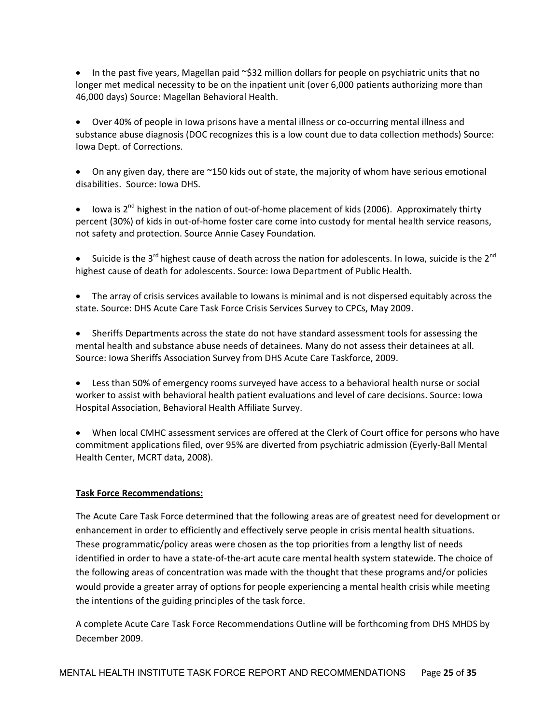• In the past five years, Magellan paid ~\$32 million dollars for people on psychiatric units that no longer met medical necessity to be on the inpatient unit (over 6,000 patients authorizing more than 46,000 days) Source: Magellan Behavioral Health.

• Over 40% of people in Iowa prisons have a mental illness or co-occurring mental illness and substance abuse diagnosis (DOC recognizes this is a low count due to data collection methods) Source: Iowa Dept. of Corrections.

On any given day, there are  $\sim$ 150 kids out of state, the majority of whom have serious emotional disabilities. Source: Iowa DHS.

• Iowa is  $2^{nd}$  highest in the nation of out-of-home placement of kids (2006). Approximately thirty percent (30%) of kids in out-of-home foster care come into custody for mental health service reasons, not safety and protection. Source Annie Casey Foundation.

• Suicide is the 3<sup>rd</sup> highest cause of death across the nation for adolescents. In Iowa, suicide is the 2<sup>nd</sup> highest cause of death for adolescents. Source: Iowa Department of Public Health.

• The array of crisis services available to Iowans is minimal and is not dispersed equitably across the state. Source: DHS Acute Care Task Force Crisis Services Survey to CPCs, May 2009.

• Sheriffs Departments across the state do not have standard assessment tools for assessing the mental health and substance abuse needs of detainees. Many do not assess their detainees at all. Source: Iowa Sheriffs Association Survey from DHS Acute Care Taskforce, 2009.

• Less than 50% of emergency rooms surveyed have access to a behavioral health nurse or social worker to assist with behavioral health patient evaluations and level of care decisions. Source: Iowa Hospital Association, Behavioral Health Affiliate Survey.

• When local CMHC assessment services are offered at the Clerk of Court office for persons who have commitment applications filed, over 95% are diverted from psychiatric admission (Eyerly-Ball Mental Health Center, MCRT data, 2008).

#### Task Force Recommendations:

The Acute Care Task Force determined that the following areas are of greatest need for development or enhancement in order to efficiently and effectively serve people in crisis mental health situations. These programmatic/policy areas were chosen as the top priorities from a lengthy list of needs identified in order to have a state-of-the-art acute care mental health system statewide. The choice of the following areas of concentration was made with the thought that these programs and/or policies would provide a greater array of options for people experiencing a mental health crisis while meeting the intentions of the guiding principles of the task force.

A complete Acute Care Task Force Recommendations Outline will be forthcoming from DHS MHDS by December 2009.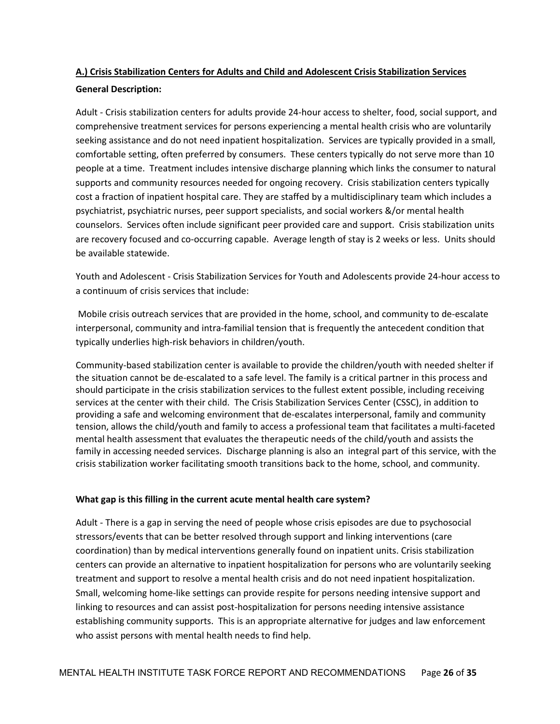#### A.) Crisis Stabilization Centers for Adults and Child and Adolescent Crisis Stabilization Services

#### General Description:

Adult - Crisis stabilization centers for adults provide 24-hour access to shelter, food, social support, and comprehensive treatment services for persons experiencing a mental health crisis who are voluntarily seeking assistance and do not need inpatient hospitalization. Services are typically provided in a small, comfortable setting, often preferred by consumers. These centers typically do not serve more than 10 people at a time. Treatment includes intensive discharge planning which links the consumer to natural supports and community resources needed for ongoing recovery. Crisis stabilization centers typically cost a fraction of inpatient hospital care. They are staffed by a multidisciplinary team which includes a psychiatrist, psychiatric nurses, peer support specialists, and social workers &/or mental health counselors. Services often include significant peer provided care and support. Crisis stabilization units are recovery focused and co-occurring capable. Average length of stay is 2 weeks or less. Units should be available statewide.

Youth and Adolescent - Crisis Stabilization Services for Youth and Adolescents provide 24-hour access to a continuum of crisis services that include:

 Mobile crisis outreach services that are provided in the home, school, and community to de-escalate interpersonal, community and intra-familial tension that is frequently the antecedent condition that typically underlies high-risk behaviors in children/youth.

Community-based stabilization center is available to provide the children/youth with needed shelter if the situation cannot be de-escalated to a safe level. The family is a critical partner in this process and should participate in the crisis stabilization services to the fullest extent possible, including receiving services at the center with their child. The Crisis Stabilization Services Center (CSSC), in addition to providing a safe and welcoming environment that de-escalates interpersonal, family and community tension, allows the child/youth and family to access a professional team that facilitates a multi-faceted mental health assessment that evaluates the therapeutic needs of the child/youth and assists the family in accessing needed services. Discharge planning is also an integral part of this service, with the crisis stabilization worker facilitating smooth transitions back to the home, school, and community.

#### What gap is this filling in the current acute mental health care system?

Adult - There is a gap in serving the need of people whose crisis episodes are due to psychosocial stressors/events that can be better resolved through support and linking interventions (care coordination) than by medical interventions generally found on inpatient units. Crisis stabilization centers can provide an alternative to inpatient hospitalization for persons who are voluntarily seeking treatment and support to resolve a mental health crisis and do not need inpatient hospitalization. Small, welcoming home-like settings can provide respite for persons needing intensive support and linking to resources and can assist post-hospitalization for persons needing intensive assistance establishing community supports. This is an appropriate alternative for judges and law enforcement who assist persons with mental health needs to find help.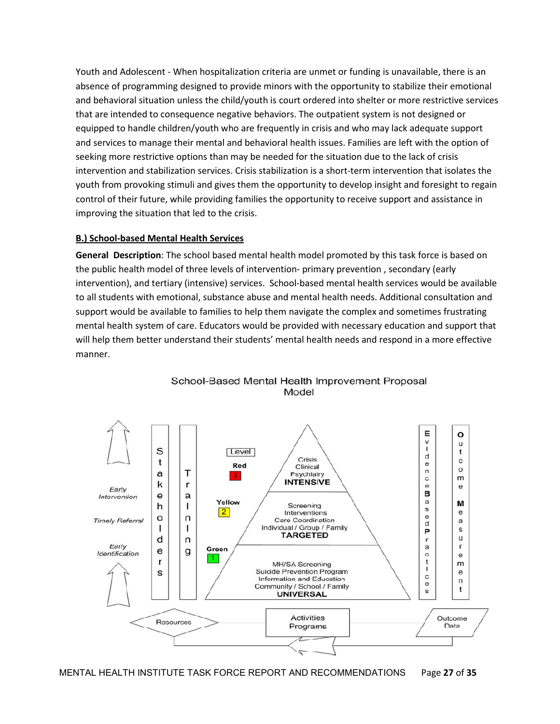Youth and Adolescent - When hospitalization criteria are unmet or funding is unavailable, there is an absence of programming designed to provide minors with the opportunity to stabilize their emotional and behavioral situation unless the child/youth is court ordered into shelter or more restrictive services that are intended to consequence negative behaviors. The outpatient system is not designed or equipped to handle children/youth who are frequently in crisis and who may lack adequate support and services to manage their mental and behavioral health issues. Families are left with the option of seeking more restrictive options than may be needed for the situation due to the lack of crisis intervention and stabilization services. Crisis stabilization is a short-term intervention that isolates the youth from provoking stimuli and gives them the opportunity to develop insight and foresight to regain control of their future, while providing families the opportunity to receive support and assistance in improving the situation that led to the crisis.

#### B.) School-based Mental Health Services

General Description: The school based mental health model promoted by this task force is based on the public health model of three levels of intervention- primary prevention , secondary (early intervention), and tertiary (intensive) services. School-based mental health services would be available to all students with emotional, substance abuse and mental health needs. Additional consultation and support would be available to families to help them navigate the complex and sometimes frustrating mental health system of care. Educators would be provided with necessary education and support that will help them better understand their students' mental health needs and respond in a more effective manner.



School-Based Mental Health Improvement Proposal Model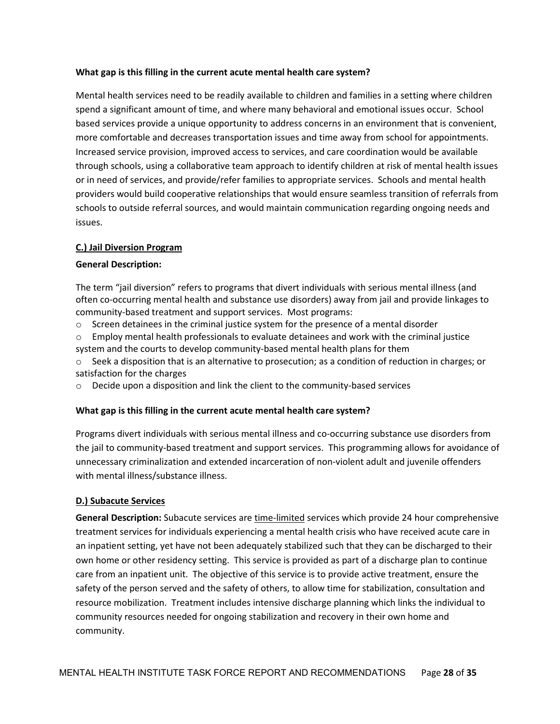#### What gap is this filling in the current acute mental health care system?

Mental health services need to be readily available to children and families in a setting where children spend a significant amount of time, and where many behavioral and emotional issues occur. School based services provide a unique opportunity to address concerns in an environment that is convenient, more comfortable and decreases transportation issues and time away from school for appointments. Increased service provision, improved access to services, and care coordination would be available through schools, using a collaborative team approach to identify children at risk of mental health issues or in need of services, and provide/refer families to appropriate services. Schools and mental health providers would build cooperative relationships that would ensure seamless transition of referrals from schools to outside referral sources, and would maintain communication regarding ongoing needs and issues.

#### C.) Jail Diversion Program

#### General Description:

The term "jail diversion" refers to programs that divert individuals with serious mental illness (and often co-occurring mental health and substance use disorders) away from jail and provide linkages to community-based treatment and support services. Most programs:

- $\circ$  Screen detainees in the criminal justice system for the presence of a mental disorder
- o Employ mental health professionals to evaluate detainees and work with the criminal justice system and the courts to develop community-based mental health plans for them
- $\circ$  Seek a disposition that is an alternative to prosecution; as a condition of reduction in charges; or satisfaction for the charges
- $\circ$  Decide upon a disposition and link the client to the community-based services

#### What gap is this filling in the current acute mental health care system?

Programs divert individuals with serious mental illness and co-occurring substance use disorders from the jail to community-based treatment and support services. This programming allows for avoidance of unnecessary criminalization and extended incarceration of non-violent adult and juvenile offenders with mental illness/substance illness.

#### D.) Subacute Services

General Description: Subacute services are time-limited services which provide 24 hour comprehensive treatment services for individuals experiencing a mental health crisis who have received acute care in an inpatient setting, yet have not been adequately stabilized such that they can be discharged to their own home or other residency setting. This service is provided as part of a discharge plan to continue care from an inpatient unit. The objective of this service is to provide active treatment, ensure the safety of the person served and the safety of others, to allow time for stabilization, consultation and resource mobilization. Treatment includes intensive discharge planning which links the individual to community resources needed for ongoing stabilization and recovery in their own home and community.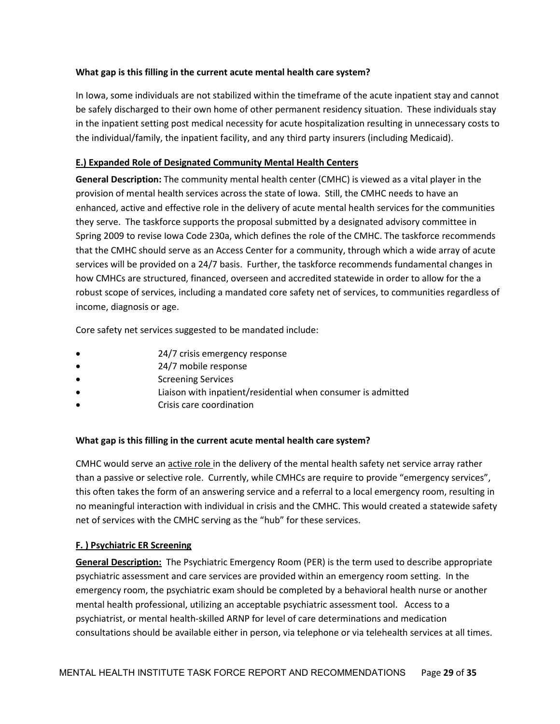#### What gap is this filling in the current acute mental health care system?

In Iowa, some individuals are not stabilized within the timeframe of the acute inpatient stay and cannot be safely discharged to their own home of other permanent residency situation. These individuals stay in the inpatient setting post medical necessity for acute hospitalization resulting in unnecessary costs to the individual/family, the inpatient facility, and any third party insurers (including Medicaid).

#### E.) Expanded Role of Designated Community Mental Health Centers

General Description: The community mental health center (CMHC) is viewed as a vital player in the provision of mental health services across the state of Iowa. Still, the CMHC needs to have an enhanced, active and effective role in the delivery of acute mental health services for the communities they serve. The taskforce supports the proposal submitted by a designated advisory committee in Spring 2009 to revise Iowa Code 230a, which defines the role of the CMHC. The taskforce recommends that the CMHC should serve as an Access Center for a community, through which a wide array of acute services will be provided on a 24/7 basis. Further, the taskforce recommends fundamental changes in how CMHCs are structured, financed, overseen and accredited statewide in order to allow for the a robust scope of services, including a mandated core safety net of services, to communities regardless of income, diagnosis or age.

Core safety net services suggested to be mandated include:

- 24/7 crisis emergency response
- 24/7 mobile response
- Screening Services
- Liaison with inpatient/residential when consumer is admitted
- Crisis care coordination

#### What gap is this filling in the current acute mental health care system?

CMHC would serve an active role in the delivery of the mental health safety net service array rather than a passive or selective role. Currently, while CMHCs are require to provide "emergency services", this often takes the form of an answering service and a referral to a local emergency room, resulting in no meaningful interaction with individual in crisis and the CMHC. This would created a statewide safety net of services with the CMHC serving as the "hub" for these services.

#### F. ) Psychiatric ER Screening

**General Description:** The Psychiatric Emergency Room (PER) is the term used to describe appropriate psychiatric assessment and care services are provided within an emergency room setting. In the emergency room, the psychiatric exam should be completed by a behavioral health nurse or another mental health professional, utilizing an acceptable psychiatric assessment tool. Access to a psychiatrist, or mental health-skilled ARNP for level of care determinations and medication consultations should be available either in person, via telephone or via telehealth services at all times.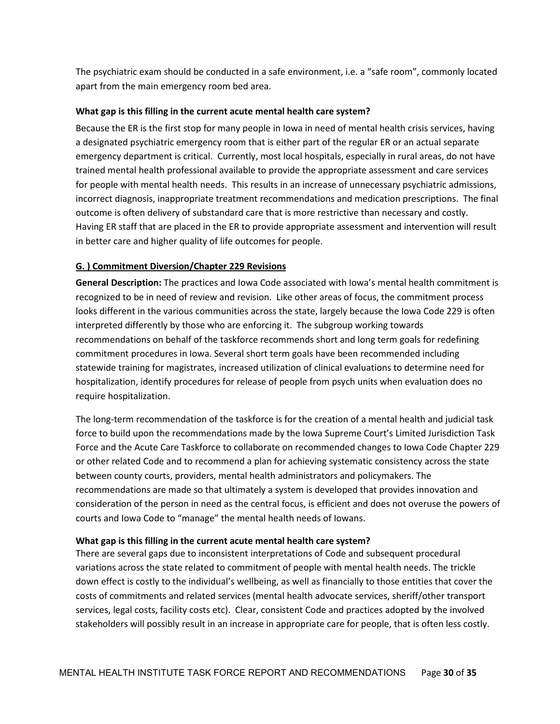The psychiatric exam should be conducted in a safe environment, i.e. a "safe room", commonly located apart from the main emergency room bed area.

#### What gap is this filling in the current acute mental health care system?

Because the ER is the first stop for many people in Iowa in need of mental health crisis services, having a designated psychiatric emergency room that is either part of the regular ER or an actual separate emergency department is critical. Currently, most local hospitals, especially in rural areas, do not have trained mental health professional available to provide the appropriate assessment and care services for people with mental health needs. This results in an increase of unnecessary psychiatric admissions, incorrect diagnosis, inappropriate treatment recommendations and medication prescriptions. The final outcome is often delivery of substandard care that is more restrictive than necessary and costly. Having ER staff that are placed in the ER to provide appropriate assessment and intervention will result in better care and higher quality of life outcomes for people.

#### G. ) Commitment Diversion/Chapter 229 Revisions

General Description: The practices and lowa Code associated with Iowa's mental health commitment is recognized to be in need of review and revision. Like other areas of focus, the commitment process looks different in the various communities across the state, largely because the Iowa Code 229 is often interpreted differently by those who are enforcing it. The subgroup working towards recommendations on behalf of the taskforce recommends short and long term goals for redefining commitment procedures in Iowa. Several short term goals have been recommended including statewide training for magistrates, increased utilization of clinical evaluations to determine need for hospitalization, identify procedures for release of people from psych units when evaluation does no require hospitalization.

The long-term recommendation of the taskforce is for the creation of a mental health and judicial task force to build upon the recommendations made by the Iowa Supreme Court's Limited Jurisdiction Task Force and the Acute Care Taskforce to collaborate on recommended changes to Iowa Code Chapter 229 or other related Code and to recommend a plan for achieving systematic consistency across the state between county courts, providers, mental health administrators and policymakers. The recommendations are made so that ultimately a system is developed that provides innovation and consideration of the person in need as the central focus, is efficient and does not overuse the powers of courts and Iowa Code to "manage" the mental health needs of Iowans.

#### What gap is this filling in the current acute mental health care system?

There are several gaps due to inconsistent interpretations of Code and subsequent procedural variations across the state related to commitment of people with mental health needs. The trickle down effect is costly to the individual's wellbeing, as well as financially to those entities that cover the costs of commitments and related services (mental health advocate services, sheriff/other transport services, legal costs, facility costs etc). Clear, consistent Code and practices adopted by the involved stakeholders will possibly result in an increase in appropriate care for people, that is often less costly.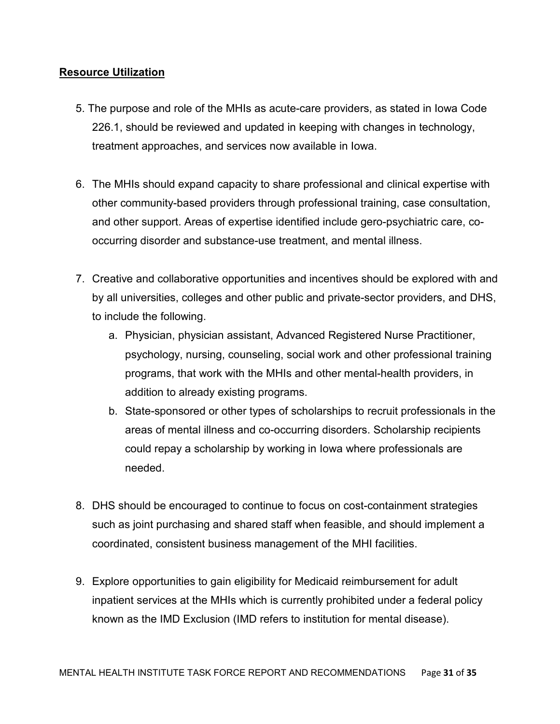### Resource Utilization

- 5. The purpose and role of the MHIs as acute-care providers, as stated in Iowa Code 226.1, should be reviewed and updated in keeping with changes in technology, treatment approaches, and services now available in Iowa.
- 6. The MHIs should expand capacity to share professional and clinical expertise with other community-based providers through professional training, case consultation, and other support. Areas of expertise identified include gero-psychiatric care, cooccurring disorder and substance-use treatment, and mental illness.
- 7. Creative and collaborative opportunities and incentives should be explored with and by all universities, colleges and other public and private-sector providers, and DHS, to include the following.
	- a. Physician, physician assistant, Advanced Registered Nurse Practitioner, psychology, nursing, counseling, social work and other professional training programs, that work with the MHIs and other mental-health providers, in addition to already existing programs.
	- b. State-sponsored or other types of scholarships to recruit professionals in the areas of mental illness and co-occurring disorders. Scholarship recipients could repay a scholarship by working in Iowa where professionals are needed.
- 8. DHS should be encouraged to continue to focus on cost-containment strategies such as joint purchasing and shared staff when feasible, and should implement a coordinated, consistent business management of the MHI facilities.
- 9. Explore opportunities to gain eligibility for Medicaid reimbursement for adult inpatient services at the MHIs which is currently prohibited under a federal policy known as the IMD Exclusion (IMD refers to institution for mental disease).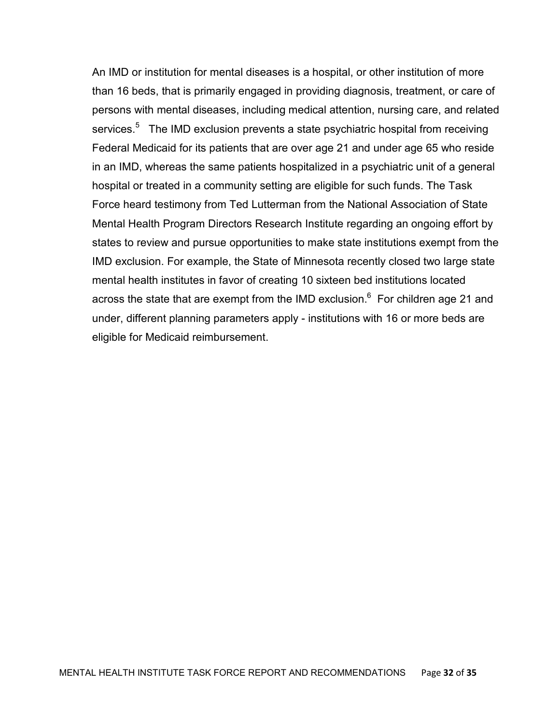An IMD or institution for mental diseases is a hospital, or other institution of more than 16 beds, that is primarily engaged in providing diagnosis, treatment, or care of persons with mental diseases, including medical attention, nursing care, and related services.<sup>5</sup> The IMD exclusion prevents a state psychiatric hospital from receiving Federal Medicaid for its patients that are over age 21 and under age 65 who reside in an IMD, whereas the same patients hospitalized in a psychiatric unit of a general hospital or treated in a community setting are eligible for such funds. The Task Force heard testimony from Ted Lutterman from the National Association of State Mental Health Program Directors Research Institute regarding an ongoing effort by states to review and pursue opportunities to make state institutions exempt from the IMD exclusion. For example, the State of Minnesota recently closed two large state mental health institutes in favor of creating 10 sixteen bed institutions located across the state that are exempt from the IMD exclusion. $^6$  For children age 21 and under, different planning parameters apply - institutions with 16 or more beds are eligible for Medicaid reimbursement.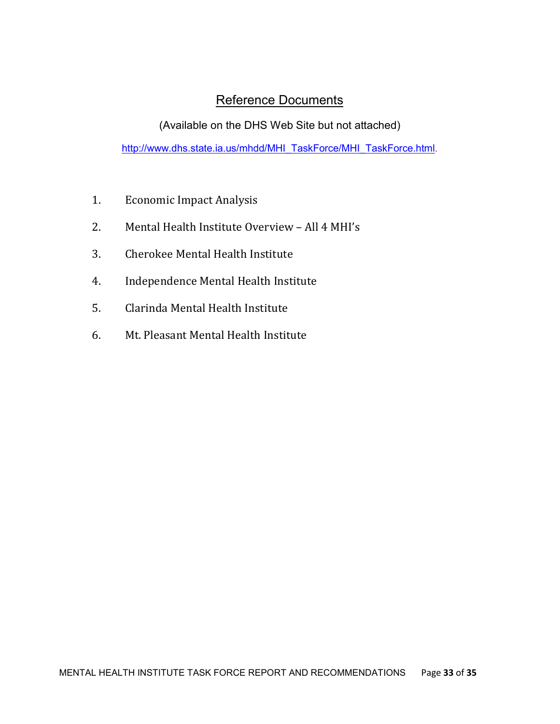# Reference Documents

(Available on the DHS Web Site but not attached)

http://www.dhs.state.ia.us/mhdd/MHI\_TaskForce/MHI\_TaskForce.html.

- 1. Economic Impact Analysis
- 2. Mental Health Institute Overview All 4 MHI's
- 3. Cherokee Mental Health Institute
- 4. Independence Mental Health Institute
- 5. Clarinda Mental Health Institute
- 6. Mt. Pleasant Mental Health Institute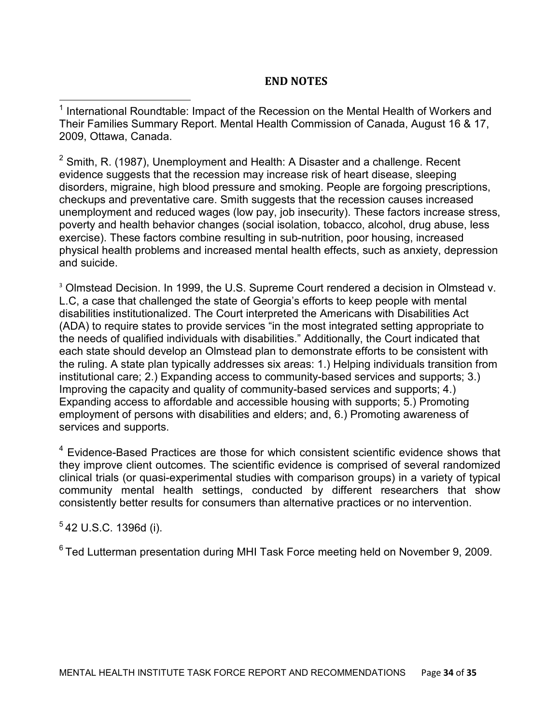# END NOTES

<sup>1</sup> International Roundtable: Impact of the Recession on the Mental Health of Workers and Their Families Summary Report. Mental Health Commission of Canada, August 16 & 17, 2009, Ottawa, Canada.

 $2$  Smith, R. (1987), Unemployment and Health: A Disaster and a challenge. Recent evidence suggests that the recession may increase risk of heart disease, sleeping disorders, migraine, high blood pressure and smoking. People are forgoing prescriptions, checkups and preventative care. Smith suggests that the recession causes increased unemployment and reduced wages (low pay, job insecurity). These factors increase stress, poverty and health behavior changes (social isolation, tobacco, alcohol, drug abuse, less exercise). These factors combine resulting in sub-nutrition, poor housing, increased physical health problems and increased mental health effects, such as anxiety, depression and suicide.

<sup>3</sup> Olmstead Decision. In 1999, the U.S. Supreme Court rendered a decision in Olmstead v. L.C, a case that challenged the state of Georgia's efforts to keep people with mental disabilities institutionalized. The Court interpreted the Americans with Disabilities Act (ADA) to require states to provide services "in the most integrated setting appropriate to the needs of qualified individuals with disabilities." Additionally, the Court indicated that each state should develop an Olmstead plan to demonstrate efforts to be consistent with the ruling. A state plan typically addresses six areas: 1.) Helping individuals transition from institutional care; 2.) Expanding access to community-based services and supports; 3.) Improving the capacity and quality of community-based services and supports; 4.) Expanding access to affordable and accessible housing with supports; 5.) Promoting employment of persons with disabilities and elders; and, 6.) Promoting awareness of services and supports.

<sup>4</sup> Evidence-Based Practices are those for which consistent scientific evidence shows that they improve client outcomes. The scientific evidence is comprised of several randomized clinical trials (or quasi-experimental studies with comparison groups) in a variety of typical community mental health settings, conducted by different researchers that show consistently better results for consumers than alternative practices or no intervention.

5 42 U.S.C. 1396d (i).

-

<sup>6</sup> Ted Lutterman presentation during MHI Task Force meeting held on November 9, 2009.